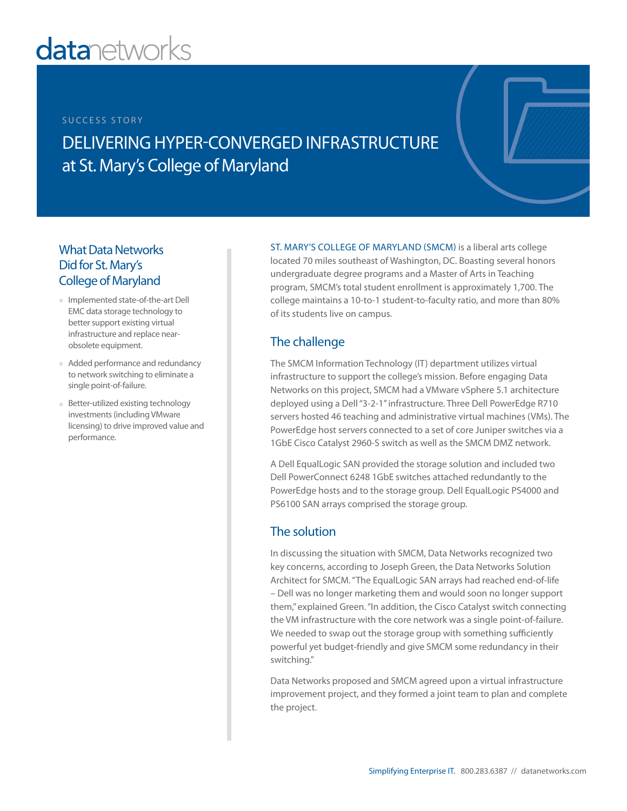# **datanetworks**

#### SUCCESS STORY

# DELIVERING HYPER-CONVERGED INFRASTRUCTURE at St. Mary's College of Maryland

# What Data Networks Did for St. Mary's College of Maryland

- Implemented state-of-the-art Dell EMC data storage technology to better support existing virtual infrastructure and replace nearobsolete equipment.
- Added performance and redundancy to network switching to eliminate a single point-of-failure.
- Better-utilized existing technology investments (including VMware licensing) to drive improved value and performance.

ST. MARY'S COLLEGE OF MARYLAND (SMCM) is a liberal arts college located 70 miles southeast of Washington, DC. Boasting several honors undergraduate degree programs and a Master of Arts in Teaching program, SMCM's total student enrollment is approximately 1,700. The college maintains a 10-to-1 student-to-faculty ratio, and more than 80% of its students live on campus.

# The challenge

The SMCM Information Technology (IT) department utilizes virtual infrastructure to support the college's mission. Before engaging Data Networks on this project, SMCM had a VMware vSphere 5.1 architecture deployed using a Dell "3-2-1" infrastructure. Three Dell PowerEdge R710 servers hosted 46 teaching and administrative virtual machines (VMs). The PowerEdge host servers connected to a set of core Juniper switches via a 1GbE Cisco Catalyst 2960-S switch as well as the SMCM DMZ network.

A Dell EqualLogic SAN provided the storage solution and included two Dell PowerConnect 6248 1GbE switches attached redundantly to the PowerEdge hosts and to the storage group. Dell EqualLogic PS4000 and PS6100 SAN arrays comprised the storage group.

### The solution

In discussing the situation with SMCM, Data Networks recognized two key concerns, according to Joseph Green, the Data Networks Solution Architect for SMCM. "The EqualLogic SAN arrays had reached end-of-life – Dell was no longer marketing them and would soon no longer support them," explained Green. "In addition, the Cisco Catalyst switch connecting the VM infrastructure with the core network was a single point-of-failure. We needed to swap out the storage group with something sufficiently powerful yet budget-friendly and give SMCM some redundancy in their switching."

Data Networks proposed and SMCM agreed upon a virtual infrastructure improvement project, and they formed a joint team to plan and complete the project.